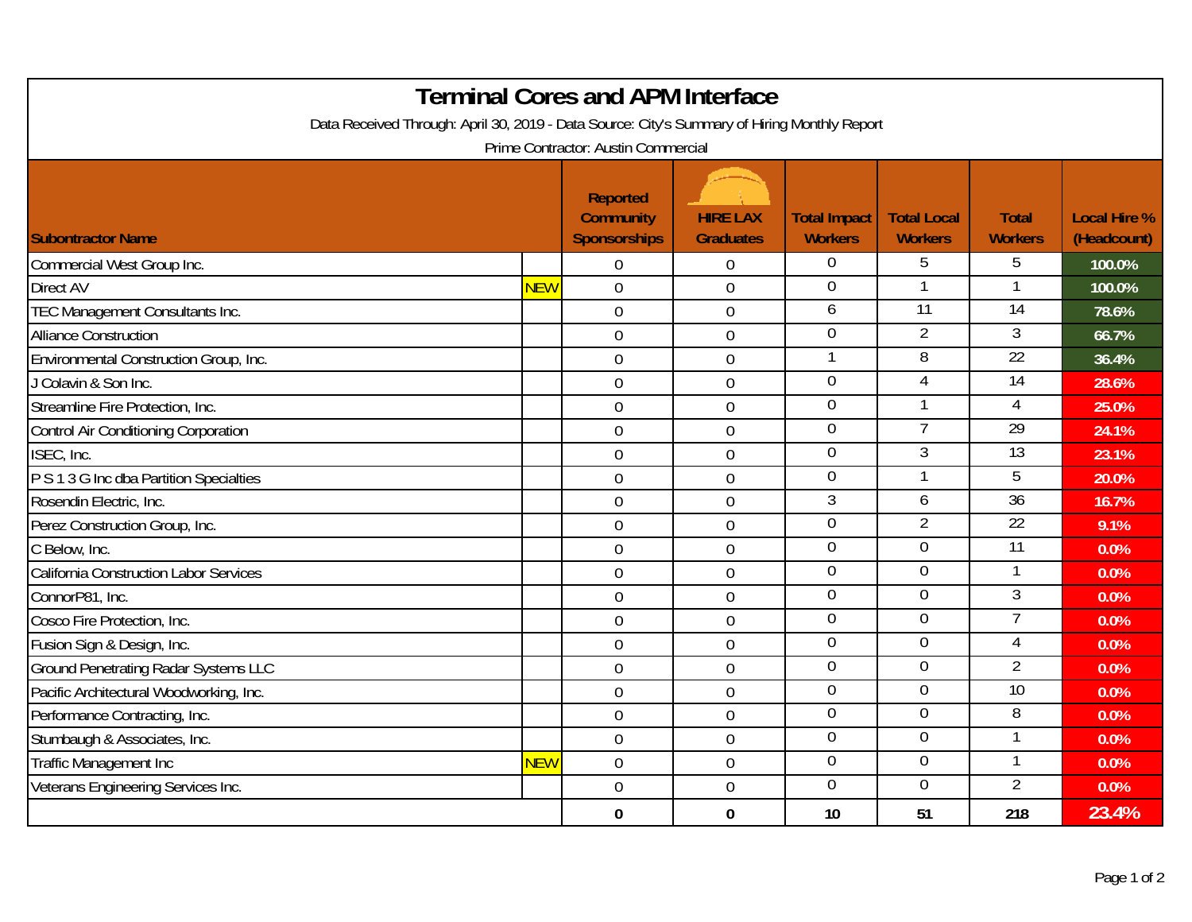| <b>Terminal Cores and APM Interface</b><br>Data Received Through: April 30, 2019 - Data Source: City's Summary of Hiring Monthly Report<br>Prime Contractor: Austin Commercial |     |                                                            |                                     |                                       |                                      |                                |                                    |  |  |  |
|--------------------------------------------------------------------------------------------------------------------------------------------------------------------------------|-----|------------------------------------------------------------|-------------------------------------|---------------------------------------|--------------------------------------|--------------------------------|------------------------------------|--|--|--|
| <b>Subontractor Name</b>                                                                                                                                                       |     | <b>Reported</b><br><b>Community</b><br><b>Sponsorships</b> | <b>HIRE LAX</b><br><b>Graduates</b> | <b>Total Impact</b><br><b>Workers</b> | <b>Total Local</b><br><b>Workers</b> | <b>Total</b><br><b>Workers</b> | <b>Local Hire %</b><br>(Headcount) |  |  |  |
| Commercial West Group Inc.                                                                                                                                                     |     | $\overline{0}$                                             | $\mathbf 0$                         | $\overline{0}$                        | 5                                    | 5                              | 100.0%                             |  |  |  |
| <b>Direct AV</b>                                                                                                                                                               | NEW | $\overline{0}$                                             | $\mathbf 0$                         | $\overline{0}$                        |                                      |                                | 100.0%                             |  |  |  |
| TEC Management Consultants Inc.                                                                                                                                                |     | $\overline{0}$                                             | $\mathbf 0$                         | 6                                     | $\overline{11}$                      | $\overline{14}$                | 78.6%                              |  |  |  |
| <b>Alliance Construction</b>                                                                                                                                                   |     | $\overline{0}$                                             | $\boldsymbol{0}$                    | $\overline{0}$                        | $\overline{2}$                       | 3                              | 66.7%                              |  |  |  |
| Environmental Construction Group, Inc.                                                                                                                                         |     | $\overline{0}$                                             | $\mathbf 0$                         |                                       | $\overline{8}$                       | 22                             | 36.4%                              |  |  |  |
| J Colavin & Son Inc.                                                                                                                                                           |     | $\overline{0}$                                             | $\mathbf 0$                         | $\overline{0}$                        | $\overline{4}$                       | 14                             | 28.6%                              |  |  |  |
| Streamline Fire Protection, Inc.                                                                                                                                               |     | $\overline{0}$                                             | $\mathbf 0$                         | $\mathbf 0$                           | 1                                    | 4                              | 25.0%                              |  |  |  |
| Control Air Conditioning Corporation                                                                                                                                           |     | $\mathbf 0$                                                | $\mathbf 0$                         | $\overline{0}$                        | 7                                    | 29                             | 24.1%                              |  |  |  |
| ISEC, Inc.                                                                                                                                                                     |     | $\overline{0}$                                             | $\overline{0}$                      | $\overline{0}$                        | 3                                    | $\overline{13}$                | 23.1%                              |  |  |  |
| P S 1 3 G Inc dba Partition Specialties                                                                                                                                        |     | $\mathbf 0$                                                | $\boldsymbol{0}$                    | $\overline{0}$                        | 1                                    | 5                              | 20.0%                              |  |  |  |
| Rosendin Electric, Inc.                                                                                                                                                        |     | $\overline{0}$                                             | $\mathbf 0$                         | 3                                     | 6                                    | $\overline{36}$                | 16.7%                              |  |  |  |
| Perez Construction Group, Inc.                                                                                                                                                 |     | $\overline{0}$                                             | $\mathbf 0$                         | $\overline{0}$                        | $\overline{2}$                       | $\overline{22}$                | 9.1%                               |  |  |  |
| C Below, Inc.                                                                                                                                                                  |     | $\overline{0}$                                             | $\mathbf 0$                         | $\mathbf 0$                           | $\mathbf 0$                          | $\overline{11}$                | 0.0%                               |  |  |  |
| California Construction Labor Services                                                                                                                                         |     | $\overline{0}$                                             | $\mathbf 0$                         | $\overline{0}$                        | $\overline{0}$                       |                                | 0.0%                               |  |  |  |
| ConnorP81, Inc.                                                                                                                                                                |     | $\overline{0}$                                             | $\mathbf 0$                         | $\overline{0}$                        | $\overline{0}$                       | $\overline{3}$                 | 0.0%                               |  |  |  |
| Cosco Fire Protection, Inc.                                                                                                                                                    |     | $\mathbf 0$                                                | $\boldsymbol{0}$                    | $\overline{0}$                        | $\overline{0}$                       | 7                              | 0.0%                               |  |  |  |
| Fusion Sign & Design, Inc.                                                                                                                                                     |     | $\overline{0}$                                             | $\mathbf 0$                         | $\overline{0}$                        | $\overline{0}$                       | 4                              | 0.0%                               |  |  |  |
| <b>Ground Penetrating Radar Systems LLC</b>                                                                                                                                    |     | $\overline{0}$                                             | $\mathbf 0$                         | $\overline{0}$                        | $\overline{0}$                       | $\overline{2}$                 | 0.0%                               |  |  |  |
| Pacific Architectural Woodworking, Inc.                                                                                                                                        |     | $\overline{0}$                                             | $\mathbf 0$                         | $\overline{0}$                        | $\overline{0}$                       | $\overline{10}$                | 0.0%                               |  |  |  |
| Performance Contracting, Inc.                                                                                                                                                  |     | $\overline{0}$                                             | $\boldsymbol{0}$                    | $\overline{0}$                        | $\overline{0}$                       | 8                              | 0.0%                               |  |  |  |
| Stumbaugh & Associates, Inc.                                                                                                                                                   |     | $\overline{0}$                                             | $\mathbf 0$                         | $\overline{0}$                        | $\overline{0}$                       | 1                              | 0.0%                               |  |  |  |
| Traffic Management Inc                                                                                                                                                         | NEW | $\mathbf 0$                                                | $\boldsymbol{0}$                    | $\overline{0}$                        | $\overline{0}$                       |                                | 0.0%                               |  |  |  |
| Veterans Engineering Services Inc.                                                                                                                                             |     | $\overline{0}$                                             | $\mathbf 0$                         | $\mathbf 0$                           | $\mathbf 0$                          | $\overline{2}$                 | 0.0%                               |  |  |  |
|                                                                                                                                                                                |     | $\mathbf{0}$                                               | $\mathbf{0}$                        | 10                                    | 51                                   | 218                            | 23.4%                              |  |  |  |